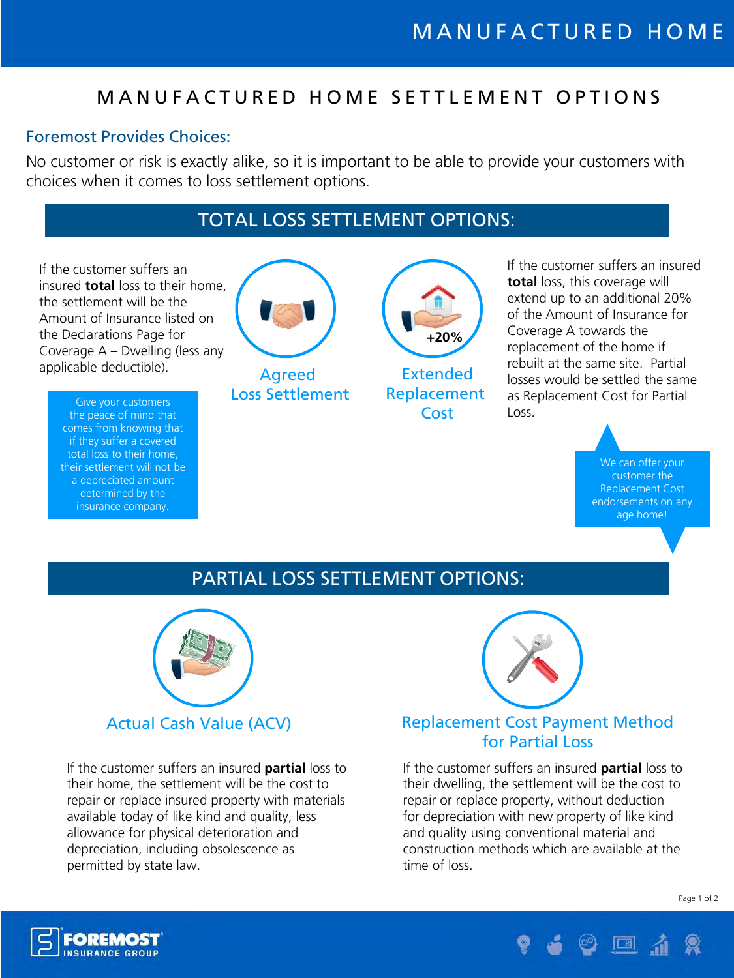# M A N U F A C T U R E D H O M E S E T T L E M E N T O P T I O N S

#### Foremost Provides Choices:

No customer or risk is exactly alike, so it is important to be able to provide your customers with choices when it comes to loss settlement options.

# TOTAL LOSS SETTLEMENT OPTIONS:

If the customer suffers an insured **total** loss to their home, the settlement will be the Amount of Insurance listed on the Declarations Page for Coverage A – Dwelling (less any applicable deductible).

> Give your customers the peace of mind that comes from knowing that if they suffer a covered total loss to their home, their settlement will not be a depreciated amount determined by the insurance company.



Agreed Loss Settlement



Extended Replacement Cost

If the customer suffers an insured **total** loss, this coverage will extend up to an additional 20% of the Amount of Insurance for Coverage A towards the replacement of the home if rebuilt at the same site. Partial losses would be settled the same as Replacement Cost for Partial Loss.

> We can offer your customer the Replacement Cost endorsements on any age home!

### PARTIAL LOSS SETTLEMENT OPTIONS:



If the customer suffers an insured **partial** loss to their home, the settlement will be the cost to repair or replace insured property with materials available today of like kind and quality, less allowance for physical deterioration and depreciation, including obsolescence as permitted by state law.



### Actual Cash Value (ACV) Replacement Cost Payment Method for Partial Loss

If the customer suffers an insured **partial** loss to their dwelling, the settlement will be the cost to repair or replace property, without deduction for depreciation with new property of like kind and quality using conventional material and construction methods which are available at the time of loss.